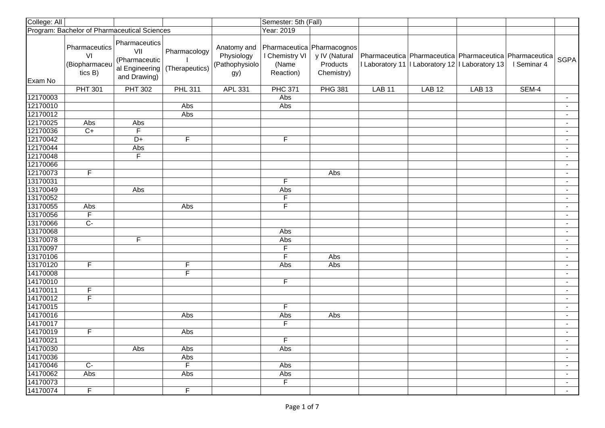| College: All |                                                 |                                                                         |                                |                                                    | Semester: 5th (Fall)                                               |                                         |               |                                                                                                                  |               |             |                          |
|--------------|-------------------------------------------------|-------------------------------------------------------------------------|--------------------------------|----------------------------------------------------|--------------------------------------------------------------------|-----------------------------------------|---------------|------------------------------------------------------------------------------------------------------------------|---------------|-------------|--------------------------|
|              | Program: Bachelor of Pharmaceutical Sciences    |                                                                         |                                |                                                    | Year: 2019                                                         |                                         |               |                                                                                                                  |               |             |                          |
| Exam No      | Pharmaceutics<br>VI<br>(Biopharmaceu<br>tics B) | Pharmaceutics<br>VII<br>(Pharmaceutic<br>al Engineering<br>and Drawing) | Pharmacology<br>(Therapeutics) | Anatomy and<br>Physiology<br>(Pathophysiolo<br>gy) | Pharmaceutica Pharmacognos<br>I Chemistry VI<br>(Name<br>Reaction) | y IV (Natural<br>Products<br>Chemistry) |               | Pharmaceutica   Pharmaceutica   Pharmaceutica   Pharmaceutica<br>I Laboratory 11   Laboratory 12   Laboratory 13 |               | I Seminar 4 | SGPA                     |
|              | <b>PHT 301</b>                                  | <b>PHT 302</b>                                                          | <b>PHL 311</b>                 | APL 331                                            | <b>PHC 371</b>                                                     | <b>PHG 381</b>                          | <b>LAB 11</b> | <b>LAB 12</b>                                                                                                    | <b>LAB 13</b> | SEM-4       |                          |
| 12170003     |                                                 |                                                                         |                                |                                                    | Abs                                                                |                                         |               |                                                                                                                  |               |             |                          |
| 12170010     |                                                 |                                                                         | Abs                            |                                                    | Abs                                                                |                                         |               |                                                                                                                  |               |             |                          |
| 12170012     |                                                 |                                                                         | Abs                            |                                                    |                                                                    |                                         |               |                                                                                                                  |               |             | $\blacksquare$           |
| 12170025     | Abs                                             | Abs                                                                     |                                |                                                    |                                                                    |                                         |               |                                                                                                                  |               |             | $\blacksquare$           |
| 12170036     | $C+$                                            | F                                                                       |                                |                                                    |                                                                    |                                         |               |                                                                                                                  |               |             | $\blacksquare$           |
| 12170042     |                                                 | $D+$                                                                    | F                              |                                                    | F.                                                                 |                                         |               |                                                                                                                  |               |             | $\sim$                   |
| 12170044     |                                                 | Abs                                                                     |                                |                                                    |                                                                    |                                         |               |                                                                                                                  |               |             | $\blacksquare$           |
| 12170048     |                                                 | $\overline{F}$                                                          |                                |                                                    |                                                                    |                                         |               |                                                                                                                  |               |             | $\blacksquare$           |
| 12170066     |                                                 |                                                                         |                                |                                                    |                                                                    |                                         |               |                                                                                                                  |               |             | $\blacksquare$           |
| 12170073     | $\overline{F}$                                  |                                                                         |                                |                                                    |                                                                    | Abs                                     |               |                                                                                                                  |               |             | $\sim$                   |
| 13170031     |                                                 |                                                                         |                                |                                                    | F                                                                  |                                         |               |                                                                                                                  |               |             | $\blacksquare$           |
| 13170049     |                                                 | Abs                                                                     |                                |                                                    | Abs                                                                |                                         |               |                                                                                                                  |               |             | $\blacksquare$           |
| 13170052     |                                                 |                                                                         |                                |                                                    | F                                                                  |                                         |               |                                                                                                                  |               |             | $\blacksquare$           |
| 13170055     | Abs                                             |                                                                         | Abs                            |                                                    | F                                                                  |                                         |               |                                                                                                                  |               |             | $\blacksquare$           |
| 13170056     | $\overline{F}$                                  |                                                                         |                                |                                                    |                                                                    |                                         |               |                                                                                                                  |               |             | $\blacksquare$           |
| 13170066     | $C -$                                           |                                                                         |                                |                                                    |                                                                    |                                         |               |                                                                                                                  |               |             | $\overline{\phantom{a}}$ |
| 13170068     |                                                 |                                                                         |                                |                                                    | Abs                                                                |                                         |               |                                                                                                                  |               |             |                          |
| 13170078     |                                                 | F                                                                       |                                |                                                    | Abs                                                                |                                         |               |                                                                                                                  |               |             |                          |
| 13170097     |                                                 |                                                                         |                                |                                                    | F                                                                  |                                         |               |                                                                                                                  |               |             | $\overline{\phantom{a}}$ |
| 13170106     |                                                 |                                                                         |                                |                                                    | F                                                                  | Abs                                     |               |                                                                                                                  |               |             | $\blacksquare$           |
| 13170120     | $\mathsf F$                                     |                                                                         | F                              |                                                    | Abs                                                                | Abs                                     |               |                                                                                                                  |               |             | $\sim$                   |
| 14170008     |                                                 |                                                                         | F                              |                                                    |                                                                    |                                         |               |                                                                                                                  |               |             | $\blacksquare$           |
| 14170010     |                                                 |                                                                         |                                |                                                    | F                                                                  |                                         |               |                                                                                                                  |               |             | $\sim$                   |
| 14170011     | F                                               |                                                                         |                                |                                                    |                                                                    |                                         |               |                                                                                                                  |               |             | $\sim$                   |
| 14170012     | $\overline{F}$                                  |                                                                         |                                |                                                    |                                                                    |                                         |               |                                                                                                                  |               |             | $\blacksquare$           |
| 14170015     |                                                 |                                                                         |                                |                                                    | F                                                                  |                                         |               |                                                                                                                  |               |             | $\blacksquare$           |
| 14170016     |                                                 |                                                                         | Abs                            |                                                    | Abs                                                                | Abs                                     |               |                                                                                                                  |               |             | $\blacksquare$           |
| 14170017     |                                                 |                                                                         |                                |                                                    | F                                                                  |                                         |               |                                                                                                                  |               |             | $\blacksquare$           |
| 14170019     | $\overline{F}$                                  |                                                                         | Abs                            |                                                    |                                                                    |                                         |               |                                                                                                                  |               |             | $\blacksquare$           |
| 14170021     |                                                 |                                                                         |                                |                                                    | F                                                                  |                                         |               |                                                                                                                  |               |             | $\blacksquare$           |
| 14170030     |                                                 | $\overline{Abs}$                                                        | Abs                            |                                                    | Abs                                                                |                                         |               |                                                                                                                  |               |             | $\sim$                   |
| 14170036     |                                                 |                                                                         | Abs                            |                                                    |                                                                    |                                         |               |                                                                                                                  |               |             | $\blacksquare$           |
| 14170046     | $\overline{C}$                                  |                                                                         | F                              |                                                    | Abs                                                                |                                         |               |                                                                                                                  |               |             | $\sim$                   |
| 14170062     | Abs                                             |                                                                         | Abs                            |                                                    | Abs                                                                |                                         |               |                                                                                                                  |               |             | $\sim$                   |
| 14170073     |                                                 |                                                                         |                                |                                                    | $\overline{F}$                                                     |                                         |               |                                                                                                                  |               |             | $\sim$                   |
| 14170074     | $\overline{F}$                                  |                                                                         | $\overline{F}$                 |                                                    |                                                                    |                                         |               |                                                                                                                  |               |             | $\sim$                   |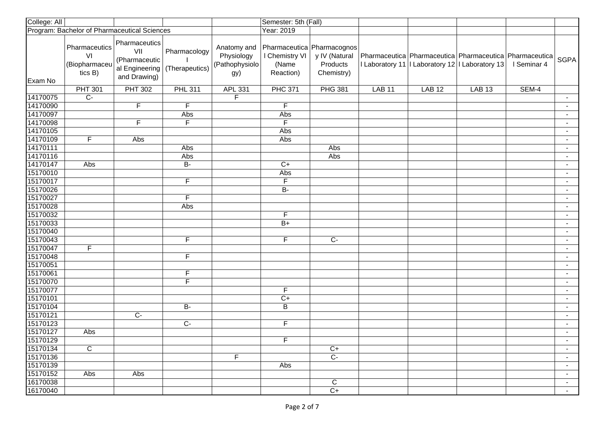| College: All |                                                 |                                                                         |                                |                                                    | Semester: 5th (Fall)                                               |                                         |                   |                                                                                                                  |               |             |                          |
|--------------|-------------------------------------------------|-------------------------------------------------------------------------|--------------------------------|----------------------------------------------------|--------------------------------------------------------------------|-----------------------------------------|-------------------|------------------------------------------------------------------------------------------------------------------|---------------|-------------|--------------------------|
|              | Program: Bachelor of Pharmaceutical Sciences    |                                                                         |                                |                                                    | Year: 2019                                                         |                                         |                   |                                                                                                                  |               |             |                          |
| Exam No      | Pharmaceutics<br>VI<br>(Biopharmaceu<br>tics B) | Pharmaceutics<br>VII<br>(Pharmaceutic<br>al Engineering<br>and Drawing) | Pharmacology<br>(Therapeutics) | Anatomy and<br>Physiology<br>(Pathophysiolo<br>gy) | Pharmaceutica Pharmacognos<br>I Chemistry VI<br>(Name<br>Reaction) | y IV (Natural<br>Products<br>Chemistry) |                   | Pharmaceutica   Pharmaceutica   Pharmaceutica   Pharmaceutica<br>I Laboratory 11   Laboratory 12   Laboratory 13 |               | I Seminar 4 | SGPA                     |
|              | <b>PHT 301</b>                                  | <b>PHT 302</b>                                                          | <b>PHL 311</b>                 | APL 331                                            | <b>PHC 371</b>                                                     | <b>PHG 381</b>                          | LAB <sub>11</sub> | <b>LAB 12</b>                                                                                                    | <b>LAB 13</b> | SEM-4       |                          |
| 14170075     | $\overline{C}$                                  |                                                                         |                                | $\overline{\mathsf{F}}$                            |                                                                    |                                         |                   |                                                                                                                  |               |             |                          |
| 14170090     |                                                 | $\overline{F}$                                                          | $\overline{F}$                 |                                                    | F                                                                  |                                         |                   |                                                                                                                  |               |             |                          |
| 14170097     |                                                 |                                                                         | Abs                            |                                                    | Abs                                                                |                                         |                   |                                                                                                                  |               |             | $\blacksquare$           |
| 14170098     |                                                 | $\overline{F}$                                                          | F                              |                                                    | F                                                                  |                                         |                   |                                                                                                                  |               |             | $\overline{\phantom{a}}$ |
| 14170105     |                                                 |                                                                         |                                |                                                    | Abs                                                                |                                         |                   |                                                                                                                  |               |             | $\blacksquare$           |
| 14170109     | $\mathsf F$                                     | Abs                                                                     |                                |                                                    | Abs                                                                |                                         |                   |                                                                                                                  |               |             | $\sim$                   |
| 14170111     |                                                 |                                                                         | <b>Abs</b>                     |                                                    |                                                                    | Abs                                     |                   |                                                                                                                  |               |             | $\blacksquare$           |
| 14170116     |                                                 |                                                                         | Abs                            |                                                    |                                                                    | Abs                                     |                   |                                                                                                                  |               |             | $\blacksquare$           |
| 14170147     | Abs                                             |                                                                         | $\overline{B}$                 |                                                    | $C+$                                                               |                                         |                   |                                                                                                                  |               |             | $\blacksquare$           |
| 15170010     |                                                 |                                                                         |                                |                                                    | Abs                                                                |                                         |                   |                                                                                                                  |               |             | $\sim$                   |
| 15170017     |                                                 |                                                                         | $\overline{F}$                 |                                                    | $\overline{F}$                                                     |                                         |                   |                                                                                                                  |               |             | $\overline{\phantom{a}}$ |
| 15170026     |                                                 |                                                                         |                                |                                                    | $B -$                                                              |                                         |                   |                                                                                                                  |               |             | $\overline{\phantom{a}}$ |
| 15170027     |                                                 |                                                                         | F                              |                                                    |                                                                    |                                         |                   |                                                                                                                  |               |             | $\overline{\phantom{a}}$ |
| 15170028     |                                                 |                                                                         | Abs                            |                                                    |                                                                    |                                         |                   |                                                                                                                  |               |             | $\blacksquare$           |
| 15170032     |                                                 |                                                                         |                                |                                                    | F.                                                                 |                                         |                   |                                                                                                                  |               |             | $\blacksquare$           |
| 15170033     |                                                 |                                                                         |                                |                                                    | $B+$                                                               |                                         |                   |                                                                                                                  |               |             | $\overline{\phantom{a}}$ |
| 15170040     |                                                 |                                                                         |                                |                                                    |                                                                    |                                         |                   |                                                                                                                  |               |             |                          |
| 15170043     |                                                 |                                                                         | F                              |                                                    | $\overline{F}$                                                     | $\overline{C}$                          |                   |                                                                                                                  |               |             |                          |
| 15170047     | $\overline{F}$                                  |                                                                         |                                |                                                    |                                                                    |                                         |                   |                                                                                                                  |               |             | $\blacksquare$           |
| 15170048     |                                                 |                                                                         | $\overline{F}$                 |                                                    |                                                                    |                                         |                   |                                                                                                                  |               |             | $\blacksquare$           |
| 15170051     |                                                 |                                                                         |                                |                                                    |                                                                    |                                         |                   |                                                                                                                  |               |             | $\sim$                   |
| 15170061     |                                                 |                                                                         | F                              |                                                    |                                                                    |                                         |                   |                                                                                                                  |               |             | $\blacksquare$           |
| 15170070     |                                                 |                                                                         | $\overline{F}$                 |                                                    |                                                                    |                                         |                   |                                                                                                                  |               |             | $\blacksquare$           |
| 15170077     |                                                 |                                                                         |                                |                                                    | F                                                                  |                                         |                   |                                                                                                                  |               |             | $\blacksquare$           |
| 15170101     |                                                 |                                                                         |                                |                                                    | $C+$                                                               |                                         |                   |                                                                                                                  |               |             | $\blacksquare$           |
| 15170104     |                                                 |                                                                         | $B -$                          |                                                    | B                                                                  |                                         |                   |                                                                                                                  |               |             | $\blacksquare$           |
| 15170121     |                                                 | $\overline{C}$                                                          |                                |                                                    |                                                                    |                                         |                   |                                                                                                                  |               |             | $\blacksquare$           |
| 15170123     |                                                 |                                                                         | $\overline{C}$                 |                                                    | $\overline{F}$                                                     |                                         |                   |                                                                                                                  |               |             | $\blacksquare$           |
| 15170127     | Abs                                             |                                                                         |                                |                                                    |                                                                    |                                         |                   |                                                                                                                  |               |             | $\sim$                   |
| 15170129     |                                                 |                                                                         |                                |                                                    | F                                                                  |                                         |                   |                                                                                                                  |               |             | $\blacksquare$           |
| 15170134     | $\mathbf C$                                     |                                                                         |                                |                                                    |                                                                    | $C+$                                    |                   |                                                                                                                  |               |             | $\blacksquare$           |
| 15170136     |                                                 |                                                                         |                                | F                                                  |                                                                    | $\overline{C}$                          |                   |                                                                                                                  |               |             | $\sim$                   |
| 15170139     |                                                 |                                                                         |                                |                                                    | Abs                                                                |                                         |                   |                                                                                                                  |               |             | $\sim$                   |
| 15170152     | Abs                                             | Abs                                                                     |                                |                                                    |                                                                    |                                         |                   |                                                                                                                  |               |             | $\blacksquare$           |
| 16170038     |                                                 |                                                                         |                                |                                                    |                                                                    | $\overline{C}$                          |                   |                                                                                                                  |               |             | $\sim$                   |
| 16170040     |                                                 |                                                                         |                                |                                                    |                                                                    | $C+$                                    |                   |                                                                                                                  |               |             | $\sim$                   |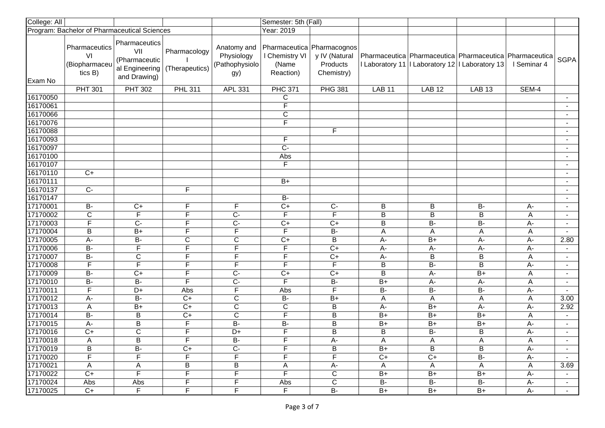| College: All         |                                                 |                                                                         |                                |                                                    | Semester: 5th (Fall)                                               |                                         |                |                                                                                                                  |                         |             |                          |
|----------------------|-------------------------------------------------|-------------------------------------------------------------------------|--------------------------------|----------------------------------------------------|--------------------------------------------------------------------|-----------------------------------------|----------------|------------------------------------------------------------------------------------------------------------------|-------------------------|-------------|--------------------------|
|                      | Program: Bachelor of Pharmaceutical Sciences    |                                                                         |                                |                                                    | Year: 2019                                                         |                                         |                |                                                                                                                  |                         |             |                          |
| Exam No              | Pharmaceutics<br>VI<br>(Biopharmaceu<br>tics B) | Pharmaceutics<br>VII<br>(Pharmaceutic<br>al Engineering<br>and Drawing) | Pharmacology<br>(Therapeutics) | Anatomy and<br>Physiology<br>(Pathophysiolo<br>gy) | Pharmaceutica Pharmacognos<br>I Chemistry VI<br>(Name<br>Reaction) | y IV (Natural<br>Products<br>Chemistry) |                | Pharmaceutica   Pharmaceutica   Pharmaceutica   Pharmaceutica<br>I Laboratory 11   Laboratory 12   Laboratory 13 |                         | I Seminar 4 | SGPA                     |
|                      | <b>PHT 301</b>                                  | <b>PHT 302</b>                                                          | <b>PHL 311</b>                 | APL 331                                            | <b>PHC 371</b>                                                     | <b>PHG 381</b>                          | <b>LAB 11</b>  | <b>LAB 12</b>                                                                                                    | <b>LAB 13</b>           | SEM-4       |                          |
| 16170050             |                                                 |                                                                         |                                |                                                    | C                                                                  |                                         |                |                                                                                                                  |                         |             |                          |
| 16170061             |                                                 |                                                                         |                                |                                                    | $\overline{\mathsf{F}}$                                            |                                         |                |                                                                                                                  |                         |             |                          |
| 16170066             |                                                 |                                                                         |                                |                                                    | $\overline{C}$                                                     |                                         |                |                                                                                                                  |                         |             |                          |
| 16170076             |                                                 |                                                                         |                                |                                                    | F                                                                  |                                         |                |                                                                                                                  |                         |             | $\blacksquare$           |
| 16170088             |                                                 |                                                                         |                                |                                                    |                                                                    | F                                       |                |                                                                                                                  |                         |             | $\sim$                   |
| 16170093             |                                                 |                                                                         |                                |                                                    | F                                                                  |                                         |                |                                                                                                                  |                         |             | $\blacksquare$           |
| 16170097             |                                                 |                                                                         |                                |                                                    | $\overline{C}$                                                     |                                         |                |                                                                                                                  |                         |             | $\blacksquare$           |
| 16170100             |                                                 |                                                                         |                                |                                                    | Abs                                                                |                                         |                |                                                                                                                  |                         |             | $\blacksquare$           |
| 16170107             |                                                 |                                                                         |                                |                                                    | F                                                                  |                                         |                |                                                                                                                  |                         |             | $\blacksquare$           |
| 16170110             | $C+$                                            |                                                                         |                                |                                                    |                                                                    |                                         |                |                                                                                                                  |                         |             | $\blacksquare$           |
| 16170111             |                                                 |                                                                         |                                |                                                    | $B+$                                                               |                                         |                |                                                                                                                  |                         |             |                          |
| 16170137             | $\overline{C}$                                  |                                                                         | $\overline{F}$                 |                                                    |                                                                    |                                         |                |                                                                                                                  |                         |             | $\overline{\phantom{a}}$ |
| 16170147             |                                                 |                                                                         |                                |                                                    | <b>B-</b>                                                          |                                         |                |                                                                                                                  |                         |             | $\blacksquare$           |
| 17170001             | <b>B-</b>                                       | $C+$                                                                    | F.                             | F                                                  | $\overline{C}$                                                     | $\overline{C}$                          | B              | B                                                                                                                | <b>B-</b>               | A-          | $\blacksquare$           |
| 17170002             | $\overline{C}$                                  | $\mathsf F$                                                             | F                              | $C -$                                              | F                                                                  | $\overline{\mathsf{F}}$                 | B              | B                                                                                                                | B                       | Α           | $\overline{\phantom{a}}$ |
| 17170003             | $\overline{\mathsf{F}}$                         | $\overline{C}$                                                          | F                              | $\overline{C}$                                     | $C+$                                                               | $C+$                                    | $\sf B$        | B-                                                                                                               | $\overline{B}$          | $A -$       |                          |
| 17170004             | B                                               | $B+$                                                                    | F                              | F                                                  | F                                                                  | <b>B-</b>                               | A              | Α                                                                                                                | A                       | A           |                          |
| 17170005             | A-                                              | $B -$                                                                   | C                              | $\overline{C}$                                     | $\overline{C}$                                                     | $\overline{B}$                          | $A -$          | $B+$                                                                                                             | $A -$                   | A-          | 2.80                     |
| 17170006             | $B -$                                           | $\overline{\mathsf{F}}$                                                 | F                              | F                                                  | F                                                                  | $\overline{C}$                          | $A -$          | $A -$                                                                                                            | $A -$                   | $A -$       |                          |
| 17170007             | $B -$                                           | $\overline{\mathrm{c}}$                                                 | F                              | F                                                  | F                                                                  | $\overline{C+}$                         | $A -$          | $\overline{B}$                                                                                                   | B                       | A           | $\blacksquare$           |
| 17170008             | $\overline{F}$                                  | F                                                                       | F.                             | F                                                  | F                                                                  | F                                       | B              | $B -$                                                                                                            | $\overline{B}$          | $A -$       | $\sim$                   |
| 17170009             | $\overline{B}$                                  | $\overline{C+}$                                                         | F                              | $\overline{C}$                                     | $C+$                                                               | $C+$                                    | $\overline{B}$ | $A -$                                                                                                            | $B+$                    | Α           | $\sim$                   |
| 17170010             | $\overline{B}$                                  | $\overline{B}$                                                          | F.                             | $\overline{C}$                                     | F                                                                  | $\overline{B}$                          | $B+$           | $A -$                                                                                                            | A-                      | A           | $\sim$                   |
| 17170011             | F                                               | D+                                                                      | Abs                            | F                                                  | Abs                                                                | F                                       | <b>B-</b>      | <b>B-</b>                                                                                                        | <b>B-</b>               | A-          | $\blacksquare$           |
| 17170012             | $A -$                                           | $\overline{B}$                                                          | $\overline{C}$                 | $\mathsf{C}$                                       | <b>B-</b>                                                          | $B+$                                    | A              | Α                                                                                                                | $\overline{\mathsf{A}}$ | A           | 3.00                     |
| 17170013             | Α<br>$\overline{B}$                             | $B+$                                                                    | $\overline{C}$                 | $\mathbf C$                                        | C<br>$\overline{\mathsf{F}}$                                       | B                                       | $A -$          | $B+$                                                                                                             | А-                      | A-          | 2.92                     |
| 17170014<br>17170015 |                                                 | $\mathsf B$                                                             | $\overline{C}$<br>F            | $\mathbf C$<br>$\overline{B}$                      | $\overline{B}$                                                     | $\mathsf B$                             | $B+$<br>$B+$   | $B+$<br>$B+$                                                                                                     | $B+$                    | A           | $\blacksquare$           |
| 17170016             | A-<br>$\overline{C+}$                           | B<br>$\overline{\text{C}}$                                              | F                              | $\overline{D+}$                                    | F                                                                  | $\mathsf B$<br>$\overline{B}$           | $\sf B$        | $\overline{B}$                                                                                                   | $B+$<br>B               | $A -$       | $\overline{\phantom{a}}$ |
|                      |                                                 |                                                                         | Н.                             | $\overline{B}$                                     | F                                                                  |                                         |                |                                                                                                                  |                         | A-          | $\blacksquare$           |
| 17170018<br>17170019 | A<br>В                                          | B<br><b>B-</b>                                                          | $C+$                           | $C -$                                              | F                                                                  | A-<br>B                                 | A<br>$B+$      | A<br>B                                                                                                           | $\mathsf{A}$<br>В       | A<br>A-     |                          |
| 17170020             | F                                               | F                                                                       | F.                             | F                                                  | F.                                                                 | F                                       | $C+$           | $C+$                                                                                                             | <b>B-</b>               |             | $\sim$                   |
| 17170021             | A                                               | A                                                                       | B                              | В                                                  | A                                                                  | А-                                      | A              |                                                                                                                  | A                       | A-<br>A     | 3.69                     |
| 17170022             | $C+$                                            | F                                                                       | F                              | F                                                  | F                                                                  | $\mathsf{C}$                            | $B+$           | A<br>$B+$                                                                                                        | $B+$                    | А-          |                          |
| 17170024             | Abs                                             | Abs                                                                     | F                              | F                                                  | Abs                                                                | $\overline{C}$                          | $B -$          | $B -$                                                                                                            | $B -$                   | А-          |                          |
| 17170025             | $C+$                                            | $\overline{F}$                                                          | $\overline{F}$                 | F                                                  | $\overline{F}$                                                     | $B -$                                   | $B+$           | $B+$                                                                                                             | $B+$                    | A-          | $\sim$                   |
|                      |                                                 |                                                                         |                                |                                                    |                                                                    |                                         |                |                                                                                                                  |                         |             |                          |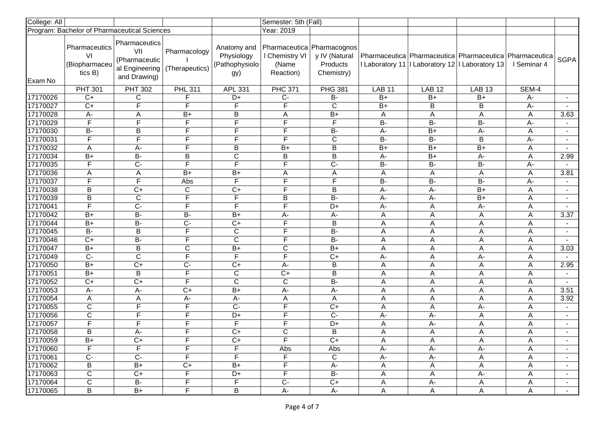| College: All |                                                    |                                                                         |                                |                                                     | Semester: 5th (Fall)                                               |                                         |                |               |                                                                                                                |             |                          |
|--------------|----------------------------------------------------|-------------------------------------------------------------------------|--------------------------------|-----------------------------------------------------|--------------------------------------------------------------------|-----------------------------------------|----------------|---------------|----------------------------------------------------------------------------------------------------------------|-------------|--------------------------|
|              | Program: Bachelor of Pharmaceutical Sciences       |                                                                         |                                |                                                     | Year: 2019                                                         |                                         |                |               |                                                                                                                |             |                          |
| Exam No      | Pharmaceutics<br>VI<br>(Biopharmaceu<br>tics $B$ ) | Pharmaceutics<br>VII<br>(Pharmaceutic<br>al Engineering<br>and Drawing) | Pharmacology<br>(Therapeutics) | Anatomy and<br>Physiology<br>(Pathophysiolo)<br>gy) | Pharmaceutica Pharmacognos<br>I Chemistry VI<br>(Name<br>Reaction) | y IV (Natural<br>Products<br>Chemistry) |                |               | Pharmaceutica   Pharmaceutica   Pharmaceutica   Pharmaceutica<br>Laboratory 11   Laboratory 12   Laboratory 13 | I Seminar 4 | <b>SGPA</b>              |
|              | <b>PHT 301</b>                                     | <b>PHT 302</b>                                                          | <b>PHL 311</b>                 | <b>APL 331</b>                                      | <b>PHC 371</b>                                                     | <b>PHG 381</b>                          | <b>LAB 11</b>  | <b>LAB 12</b> | <b>LAB 13</b>                                                                                                  | SEM-4       |                          |
| 17170026     | $C+$                                               | С                                                                       | F                              | D+                                                  | $C -$                                                              | $B -$                                   | $B+$           | $B+$          | $B+$                                                                                                           | А-          |                          |
| 17170027     | $\overline{C}$                                     | F                                                                       | F                              | F                                                   | F                                                                  | $\overline{C}$                          | $B+$           | B             | B                                                                                                              | $A -$       | $\sim$                   |
| 17170028     | A-                                                 | Α                                                                       | $B+$                           | В                                                   | Α                                                                  | $B+$                                    | A              | Α             | A                                                                                                              | Α           | 3.63                     |
| 17170029     | $\overline{\mathsf{F}}$                            | F                                                                       | F                              | $\overline{F}$                                      | F                                                                  | F                                       | $B -$          | <b>B-</b>     | $\overline{B}$                                                                                                 | A-          | $\sim$                   |
| 17170030     | $B -$                                              | В                                                                       | F                              | F                                                   | F                                                                  | $B -$                                   | $A -$          | $B+$          | A-                                                                                                             | Α           | $\blacksquare$           |
| 17170031     | $\overline{\mathsf{F}}$                            | F                                                                       | F                              | F                                                   | F                                                                  | $\overline{C}$                          | $B -$          | $B -$         | $\overline{B}$                                                                                                 | $A -$       | $\blacksquare$           |
| 17170032     | A                                                  | $A -$                                                                   | F                              | В                                                   | $B+$                                                               | B                                       | $B+$           | $B+$          | $B+$                                                                                                           | Α           | $\blacksquare$           |
| 17170034     | $B+$                                               | $\overline{B}$                                                          | B                              | $\overline{C}$                                      | B                                                                  | B                                       | $A -$          | $B+$          | A-                                                                                                             | A           | 2.99                     |
| 17170035     | $\overline{\mathsf{F}}$                            | $\overline{C}$                                                          | $\overline{\mathsf{F}}$        | $\overline{\mathsf{F}}$                             | F                                                                  | $\overline{C}$                          | $\overline{B}$ | B-            | $\overline{B}$                                                                                                 | $A -$       |                          |
| 17170036     | A                                                  | Α                                                                       | $\overline{B+}$                | $B+$                                                | А                                                                  | Α                                       | A              | A             | Α                                                                                                              | Α           | 3.81                     |
| 17170037     | F                                                  | F                                                                       | Abs                            | $\overline{F}$                                      | F                                                                  | F                                       | $\overline{B}$ | B-            | $\overline{B}$                                                                                                 | A-          | $\sim$                   |
| 17170038     | $\sf B$                                            | $\overline{C+}$                                                         | C                              | $C+$                                                | F                                                                  | B                                       | $A -$          | A-            | $\overline{B+}$                                                                                                | A           | $\overline{\phantom{0}}$ |
| 17170039     | $\overline{B}$                                     | $\mathsf C$                                                             | $\overline{\mathsf{F}}$        | F                                                   | B                                                                  | $B -$                                   | $A -$          | A-            | $\overline{B+}$                                                                                                | A           |                          |
| 17170041     | $\overline{\mathsf{F}}$                            | $\overline{C}$                                                          | F                              | F                                                   | $\overline{\mathsf{F}}$                                            | $D+$                                    | $A -$          | Α             | $A -$                                                                                                          | A           |                          |
| 17170042     | $B+$                                               | $\overline{B}$                                                          | B-                             | $B+$                                                | A-                                                                 | $A-$                                    | A              | Α             | A                                                                                                              | A           | 3.37                     |
| 17170044     | $B+$                                               | <b>B-</b>                                                               | $\overline{C}$                 | $C+$                                                | F                                                                  | B                                       | Α              | Α             | A                                                                                                              | A           |                          |
| 17170045     | $\overline{B}$                                     | B                                                                       | F                              | $\mathbf C$                                         | F                                                                  | $B -$                                   | A              | А             | A                                                                                                              | A           |                          |
| 17170046     | $C+$                                               | <b>B-</b>                                                               | $\overline{F}$                 | $\overline{C}$                                      | F                                                                  | $B -$                                   | Α              | Α             | A                                                                                                              | A           |                          |
| 17170047     | $B+$                                               | $\overline{B}$                                                          | $\overline{\text{c}}$          | $B+$                                                | $\overline{\mathsf{C}}$                                            | $B+$                                    | A              | Α             | A                                                                                                              | A           | 3.03                     |
| 17170049     | $\overline{C}$                                     | $\overline{C}$                                                          | $\overline{F}$                 | F                                                   | F                                                                  | $C+$                                    | А-             | Α             | $A -$                                                                                                          | A           |                          |
| 17170050     | $B+$                                               | $\overline{C+}$                                                         | $\overline{C}$                 | $C+$                                                | $A -$                                                              | B                                       | A              | Α             | A                                                                                                              | A           | 2.95                     |
| 17170051     | $B+$                                               | В                                                                       | F                              | C                                                   | $C+$                                                               | В                                       | Α              | Α             | A                                                                                                              | Α           | $\sim$                   |
| 17170052     | $\overline{C+}$                                    | $\overline{C+}$                                                         | F                              | $\overline{\mathsf{C}}$                             | C                                                                  | $B -$                                   | Α              | Α             | Α                                                                                                              | Α           | $\blacksquare$           |
| 17170053     | А-                                                 | $A -$                                                                   | $\overline{C+}$                | $B+$                                                | $A -$                                                              | A-                                      | A              | Α             | A                                                                                                              | A           | 3.51                     |
| 17170054     | A                                                  | Α                                                                       | А-                             | А-                                                  | Α                                                                  | Α                                       | Α              | Α             | Α                                                                                                              | Α           | 3.92                     |
| 17170055     | $\mathsf C$                                        | F                                                                       | F                              | $\overline{C}$                                      | F                                                                  | $\overline{C}$                          | A              | Α             | $A-$                                                                                                           | A           |                          |
| 17170056     | $\mathsf C$                                        | F                                                                       | F                              | D+                                                  | F                                                                  | $\overline{C}$                          | $A-$           | A-            | A                                                                                                              | Α           | $\blacksquare$           |
| 17170057     | F                                                  | F                                                                       | F                              | $\overline{F}$                                      | F                                                                  | $\overline{D+}$                         | A              | A-            | A                                                                                                              | A           | $\blacksquare$           |
| 17170058     | $\sf B$                                            | A-                                                                      | F                              | $\overline{C}$                                      | C                                                                  | B                                       | A              | Α             | Α                                                                                                              | Α           |                          |
| 17170059     | $B+$                                               | $\overline{C+}$                                                         | Е                              | $C+$                                                | F                                                                  | $C+$                                    | A              | A             | A                                                                                                              | Α           |                          |
| 17170060     | F.                                                 | F.                                                                      | F                              | F                                                   | Abs                                                                | Abs                                     | A-             | A-            | A-                                                                                                             | A           |                          |
| 17170061     | $C-$                                               | $\overline{C}$                                                          | F                              | F.                                                  | F                                                                  | $\overline{C}$                          | $A -$          | A-            | A                                                                                                              | A           |                          |
| 17170062     | В                                                  | $B+$                                                                    | $C+$                           | B+                                                  | F                                                                  | A-                                      | A              | A             | A                                                                                                              | A           |                          |
| 17170063     | $\overline{C}$                                     | $C+$                                                                    | $\overline{F}$                 | D+                                                  | F                                                                  | $B -$                                   | Α              | A             | А-                                                                                                             | Α           |                          |
| 17170064     | $\overline{C}$                                     | <b>B-</b>                                                               | F                              | F.                                                  | $C -$                                                              | $C+$                                    | A              | A-            | A                                                                                                              | Α           |                          |
| 17170065     | $\overline{B}$                                     | B+                                                                      | $\overline{F}$                 | B                                                   | A-                                                                 | $A-$                                    | A              | $\mathsf{A}$  | A                                                                                                              | A           | $\sim$                   |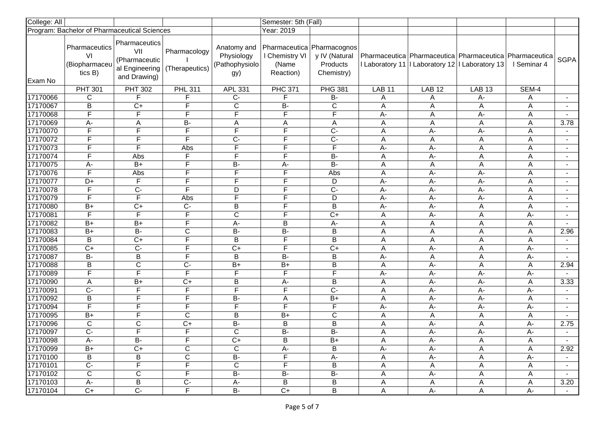| College: All |                                                    |                                                                                |                                |                                                    | Semester: 5th (Fall)                                                 |                                         |                |               |                                                                                                                      |             |                          |
|--------------|----------------------------------------------------|--------------------------------------------------------------------------------|--------------------------------|----------------------------------------------------|----------------------------------------------------------------------|-----------------------------------------|----------------|---------------|----------------------------------------------------------------------------------------------------------------------|-------------|--------------------------|
|              | Program: Bachelor of Pharmaceutical Sciences       |                                                                                |                                |                                                    | Year: 2019                                                           |                                         |                |               |                                                                                                                      |             |                          |
| Exam No      | Pharmaceutics<br>VI<br>(Biopharmaceu<br>tics $B$ ) | <b>Pharmaceutics</b><br>VII<br>(Pharmaceutic<br>al Engineering<br>and Drawing) | Pharmacology<br>(Therapeutics) | Anatomy and<br>Physiology<br>(Pathophysiolo<br>gy) | Pharmaceutica   Pharmacognos<br>I Chemistry VI<br>(Name<br>Reaction) | y IV (Natural<br>Products<br>Chemistry) |                |               | Pharmaceutica   Pharmaceutica   Pharmaceutica   Pharmaceutica<br>I Laboratory 11   I Laboratory 12   I Laboratory 13 | I Seminar 4 | <b>SGPA</b>              |
|              | <b>PHT 301</b>                                     | <b>PHT 302</b>                                                                 | <b>PHL 311</b>                 | <b>APL 331</b>                                     | <b>PHC 371</b>                                                       | <b>PHG 381</b>                          | <b>LAB 11</b>  | <b>LAB 12</b> | <b>LAB 13</b>                                                                                                        | SEM-4       |                          |
| 17170066     | C                                                  | F                                                                              | F.                             | $C -$                                              | F                                                                    | B-                                      | Α              | A             | A-                                                                                                                   | Α           |                          |
| 17170067     | $\overline{B}$                                     | $\overline{C}$                                                                 | F                              | $\overline{C}$                                     | <b>B-</b>                                                            | $\overline{C}$                          | A              | A             | A                                                                                                                    | A           | $\sim$                   |
| 17170068     | F                                                  | F                                                                              | F                              | F                                                  | F                                                                    | F                                       | A-             | Α             | $A -$                                                                                                                | A           | $\overline{\phantom{0}}$ |
| 17170069     | $A -$                                              | Α                                                                              | $\overline{B}$                 | Α                                                  | Α                                                                    | A                                       | A              | A             | $\overline{A}$                                                                                                       | A           | 3.78                     |
| 17170070     | $\overline{F}$                                     | F                                                                              | F.                             | F                                                  | F                                                                    | $\overline{C}$                          | Α              | A-            | A-                                                                                                                   | Α           | $\sim$                   |
| 17170072     | $\overline{\mathsf{F}}$                            | F                                                                              | F                              | $\overline{C}$                                     | F                                                                    | $\overline{C}$                          | A              | Α             | A                                                                                                                    | A           | $\overline{\phantom{a}}$ |
| 17170073     | $\overline{F}$                                     | F                                                                              | Abs                            | F                                                  | F                                                                    | F                                       | $A -$          | A-            | Α                                                                                                                    | A           | $\blacksquare$           |
| 17170074     | $\overline{F}$                                     | Abs                                                                            | F                              | $\overline{F}$                                     | F                                                                    | $B -$                                   | A              | A-            | A                                                                                                                    | A           | $\blacksquare$           |
| 17170075     | $A-$                                               | $B+$                                                                           | F.                             | <b>B-</b>                                          | А-                                                                   | B-                                      | A              | Α             | A                                                                                                                    | A           |                          |
| 17170076     | $\overline{\mathsf{F}}$                            | Abs                                                                            | F                              | $\overline{\mathsf{F}}$                            | F                                                                    | Abs                                     | A              | $A -$         | A-                                                                                                                   | Α           |                          |
| 17170077     | D+                                                 | F                                                                              | F                              | F                                                  | F                                                                    | D                                       | $\overline{A}$ | A-            | $\overline{A}$                                                                                                       | A           | $\overline{\phantom{a}}$ |
| 17170078     | F                                                  | $\overline{C}$                                                                 | F.                             | D                                                  | F                                                                    | $\overline{C}$                          | $A -$          | A-            | A-                                                                                                                   | A           | $\overline{\phantom{a}}$ |
| 17170079     | $\overline{\mathsf{F}}$                            | F                                                                              | Abs                            | $\overline{\mathsf{F}}$                            | F                                                                    | D                                       | $A -$          | A-            | A-                                                                                                                   | A           |                          |
| 17170080     | $B+$                                               | $\overline{C}$                                                                 | $\overline{C}$                 | B                                                  | F                                                                    | B                                       | $A -$          | A-            | A                                                                                                                    | A           |                          |
| 17170081     | $\overline{\mathsf{F}}$                            | F                                                                              | F                              | $\overline{\text{c}}$                              | F                                                                    | $\overline{C}$                          | A              | А-            | A                                                                                                                    | А-          |                          |
| 17170082     | $B+$                                               | $B+$                                                                           | F                              | А-                                                 | B                                                                    | A-                                      | Α              | Α             | A                                                                                                                    | Α           |                          |
| 17170083     | $B+$                                               | $\overline{B}$                                                                 | C                              | <b>B-</b>                                          | <b>B-</b>                                                            | $\overline{B}$                          | A              | Α             | A                                                                                                                    | A           | 2.96                     |
| 17170084     | В                                                  | $C+$                                                                           | F                              | B                                                  | F                                                                    | $\overline{B}$                          | А              | Α             | A                                                                                                                    | A           |                          |
| 17170085     | $C+$                                               | $\overline{C}$                                                                 | F                              | $\overline{C+}$                                    | $\overline{\mathsf{F}}$                                              | $\overline{C}$                          | A              | A-            | A                                                                                                                    | $A -$       | $\sim$                   |
| 17170087     | $B -$                                              | B                                                                              | F.                             | B                                                  | $B -$                                                                | B                                       | $A -$          | Α             | $\overline{\mathsf{A}}$                                                                                              | А-          | $\sim$                   |
| 17170088     | $\overline{B}$                                     | $\overline{\mathrm{c}}$                                                        | $\overline{C}$                 | $B+$                                               | $B+$                                                                 | $\overline{B}$                          | A              | $A -$         | $\overline{A}$                                                                                                       | Α           | 2.94                     |
| 17170089     | F                                                  | F                                                                              | F.                             | F                                                  | F                                                                    | F                                       | $A -$          | A-            | A-                                                                                                                   | $A -$       |                          |
| 17170090     | Α                                                  | $B+$                                                                           | $\overline{C+}$                | B                                                  | A-                                                                   | $\overline{B}$                          | Α              | A-            | A-                                                                                                                   | Α           | 3.33                     |
| 17170091     | $\overline{C}$                                     | F                                                                              | F.                             | $\overline{\mathsf{F}}$                            | F                                                                    | $C -$                                   | A              | A-            | $A -$                                                                                                                | $A -$       | $\blacksquare$           |
| 17170092     | B                                                  | F                                                                              | F                              | <b>B-</b>                                          | Α                                                                    | $B+$                                    | Α              | A-            | $A -$                                                                                                                | Α           | $\blacksquare$           |
| 17170094     | $\overline{\mathsf{F}}$                            | F                                                                              | F                              | $\overline{\mathsf{F}}$                            | F                                                                    | $\overline{\mathsf{F}}$                 | $A -$          | A-            | A-                                                                                                                   | А-          |                          |
| 17170095     | $B+$                                               | F                                                                              | $\mathbf C$                    | B                                                  | $B+$                                                                 | $\mathsf{C}$                            | A              | A             | A                                                                                                                    | Α           |                          |
| 17170096     | $\overline{C}$                                     | C                                                                              | $\overline{C+}$                | $\overline{B}$                                     | B                                                                    | $\overline{B}$                          | A              | А-            | A                                                                                                                    | А-          | 2.75                     |
| 17170097     | $\overline{C}$                                     | F                                                                              | F                              | $\mathsf C$                                        | $\overline{B}$                                                       | $B -$                                   | A              | $A -$         | A-                                                                                                                   | А-          | $\sim$                   |
| 17170098     | $A -$                                              | $\overline{B}$                                                                 | F                              | $\overline{C}$                                     | B                                                                    | $B+$                                    | A              | $A -$         | A                                                                                                                    | Α           |                          |
| 17170099     | $B+$                                               | $C+$                                                                           | C                              | C                                                  | A-                                                                   | B                                       | A-             | A-            | A                                                                                                                    | A           | 2.92                     |
| 17170100     | В                                                  | B                                                                              | $\mathsf C$                    | <b>B-</b>                                          | F                                                                    | А-                                      | A              | A-            | A                                                                                                                    | A-          |                          |
| 17170101     | $C -$                                              | F                                                                              | F                              | C                                                  | F.                                                                   | B                                       | A              | A             | A                                                                                                                    | Α           |                          |
| 17170102     | $\overline{C}$                                     | $\overline{C}$                                                                 | F.                             | $B -$                                              | $B -$                                                                | <b>B-</b>                               | Α              | A-            | A                                                                                                                    | A           |                          |
| 17170103     | A-                                                 | B                                                                              | $C -$                          | $A -$                                              | B                                                                    | B                                       | Α              | A             | Α                                                                                                                    | Α           | 3.20                     |
| 17170104     | $C+$                                               | $\overline{C}$                                                                 | F                              | $B -$                                              | $C+$                                                                 | $\overline{B}$                          | A              | A-            | A                                                                                                                    | $A-$        | $\sim$                   |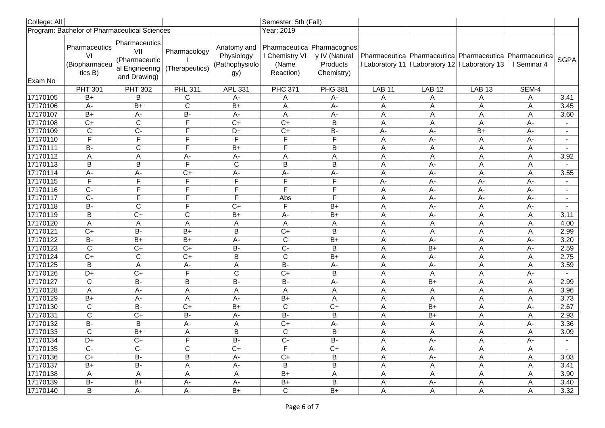| College: All |                                                    |                                                                         |                                |                                                     | Semester: 5th (Fall)                                               |                                         |                |               |                                                                                                                      |             |                          |
|--------------|----------------------------------------------------|-------------------------------------------------------------------------|--------------------------------|-----------------------------------------------------|--------------------------------------------------------------------|-----------------------------------------|----------------|---------------|----------------------------------------------------------------------------------------------------------------------|-------------|--------------------------|
|              | Program: Bachelor of Pharmaceutical Sciences       |                                                                         |                                |                                                     | Year: 2019                                                         |                                         |                |               |                                                                                                                      |             |                          |
| Exam No      | Pharmaceutics<br>VI<br>(Biopharmaceu<br>tics $B$ ) | Pharmaceutics<br>VII<br>(Pharmaceutic<br>al Engineering<br>and Drawing) | Pharmacology<br>(Therapeutics) | Anatomy and<br>Physiology<br>(Pathophysiolo)<br>gy) | Pharmaceutica Pharmacognos<br>I Chemistry VI<br>(Name<br>Reaction) | y IV (Natural<br>Products<br>Chemistry) |                |               | Pharmaceutica   Pharmaceutica   Pharmaceutica   Pharmaceutica<br>I Laboratory 11   I Laboratory 12   I Laboratory 13 | I Seminar 4 | <b>SGPA</b>              |
|              | <b>PHT 301</b>                                     | <b>PHT 302</b>                                                          | <b>PHL 311</b>                 | APL 331                                             | <b>PHC 371</b>                                                     | <b>PHG 381</b>                          | <b>LAB 11</b>  | <b>LAB 12</b> | <b>LAB 13</b>                                                                                                        | SEM-4       |                          |
| 17170105     | $B+$                                               | B                                                                       | C                              | A-                                                  | Α                                                                  | $A -$                                   | Α              | Α             | Α                                                                                                                    | Α           | 3.41                     |
| 17170106     | $A -$                                              | $\overline{B+}$                                                         | $\overline{C}$                 | $\overline{B+}$                                     | A                                                                  | $A -$                                   | A              | Α             | A                                                                                                                    | A           | 3.45                     |
| 17170107     | $B+$                                               | $A -$                                                                   | $B -$                          | $A -$                                               | Α                                                                  | $A -$                                   | Α              | Α             | A                                                                                                                    | Α           | 3.60                     |
| 17170108     | $C+$                                               | $\overline{C}$                                                          | F                              | $C+$                                                | $C+$                                                               | $\overline{B}$                          | A              | Α             | $\overline{A}$                                                                                                       | A-          | $\blacksquare$           |
| 17170109     | C                                                  | $\overline{C}$                                                          | F                              | D+                                                  | $C+$                                                               | $B -$                                   | $A -$          | $A -$         | $B+$                                                                                                                 | А-          | $\sim$                   |
| 17170110     | $\overline{\mathsf{F}}$                            | F                                                                       | F                              | F                                                   | F                                                                  | F                                       | Α              | $A -$         | A                                                                                                                    | $A -$       | $\blacksquare$           |
| 17170111     | $B -$                                              | C                                                                       | F                              | $B+$                                                | F                                                                  | B                                       | Α              | Α             | A                                                                                                                    | Α           | $\blacksquare$           |
| 17170112     | A                                                  | Α                                                                       | A-                             | А-                                                  | Α                                                                  | Α                                       | Α              | Α             | A                                                                                                                    | A           | 3.92                     |
| 17170113     | $\sf B$                                            | B                                                                       | F                              | $\mathsf C$                                         | B                                                                  | B                                       | A              | A-            | A                                                                                                                    | A           |                          |
| 17170114     | А-                                                 | A-                                                                      | $\overline{C+}$                | A-                                                  | A-                                                                 | A-                                      | A              | A-            | A                                                                                                                    | A           | 3.55                     |
| 17170115     | F                                                  | F                                                                       | F                              | $\overline{F}$                                      | F                                                                  | F                                       | $\overline{A}$ | A-            | $\overline{A}$                                                                                                       | A-          | $\sim$                   |
| 17170116     | $\overline{C}$                                     | F                                                                       | F                              | F                                                   | F                                                                  | F                                       | A              | A-            | A-                                                                                                                   | A-          | $\overline{\phantom{0}}$ |
| 17170117     | $\overline{C}$                                     | F                                                                       | F                              | F                                                   | Abs                                                                | F                                       | A              | A-            | $A-$                                                                                                                 | А-          | $\blacksquare$           |
| 17170118     | $\overline{B}$                                     | $\mathsf C$                                                             | F                              | $C+$                                                | F                                                                  | $B+$                                    | Α              | A-            | Α                                                                                                                    | A-          |                          |
| 17170119     | $\overline{B}$                                     | $\overline{C}$                                                          | C                              | $B+$                                                | $A -$                                                              | $\overline{B+}$                         | A              | A-            | A                                                                                                                    | A           | 3.11                     |
| 17170120     | A                                                  | A                                                                       | A                              | A                                                   | Α                                                                  | Α                                       | Α              | Α             | A                                                                                                                    | Α           | 4.00                     |
| 17170121     | $C+$                                               | $B -$                                                                   | $\overline{B+}$                | $\overline{B}$                                      | $\overline{C}$                                                     | B                                       | A              | A             | A                                                                                                                    | A           | 2.99                     |
| 17170122     | <b>B-</b>                                          | $B+$                                                                    | $B+$                           | А-                                                  | $\overline{C}$                                                     | $B+$                                    | Α              | A-            | A                                                                                                                    | А-          | 3.20                     |
| 17170123     | $\overline{\mathsf{C}}$                            | $C+$                                                                    | $\overline{C+}$                | $B -$                                               | $\overline{C}$                                                     | $\overline{B}$                          | A              | $B+$          | A                                                                                                                    | $A -$       | 2.59                     |
| 17170124     | $C+$                                               | C                                                                       | $C+$                           | B                                                   | $\overline{C}$                                                     | $B+$                                    | Α              | A-            | A                                                                                                                    | Α           | 2.75                     |
| 17170125     | B                                                  | A                                                                       | A-                             | A                                                   | В-                                                                 | A-                                      | A              | A-            | A                                                                                                                    | A           | 3.59                     |
| 17170126     | D+                                                 | $C+$                                                                    | F                              | $\overline{C}$                                      | $C+$                                                               | В                                       | Α              | Α             | A                                                                                                                    | $A -$       |                          |
| 17170127     | $\overline{C}$                                     | $B -$                                                                   | B                              | $\overline{B}$                                      | В-                                                                 | $A-$                                    | Α              | $B+$          | A                                                                                                                    | Α           | 2.99                     |
| 17170128     | A                                                  | $A -$                                                                   | Α                              | Α                                                   | Α                                                                  | Α                                       | A              | Α             | A                                                                                                                    | Α           | 3.96                     |
| 17170129     | $B+$                                               | А-                                                                      | Α                              | А-                                                  | $B+$                                                               | Α                                       | A              | A             | Α                                                                                                                    | Α           | 3.73                     |
| 17170130     | $\mathsf C$                                        | $\overline{B}$                                                          | $\overline{C+}$                | $\overline{B+}$                                     | $\mathsf C$                                                        | $C+$                                    | A              | $B+$          | A                                                                                                                    | А-          | 2.67                     |
| 17170131     | $\mathsf C$                                        | $\overline{C+}$                                                         | $\overline{B}$                 | А-                                                  | $\overline{B}$                                                     | B                                       | A              | $B+$          | A                                                                                                                    | Α           | 2.93                     |
| 17170132     | $\overline{B}$                                     | B                                                                       | A-                             | A                                                   | $\overline{C}$                                                     | $A-$                                    | A              | A             | A                                                                                                                    | А-          | 3.36                     |
| 17170133     | $\overline{C}$                                     | $B+$                                                                    | Α                              | $\sf B$                                             | $\mathbf C$                                                        | B                                       | A              | Α             | Α                                                                                                                    | Α           | 3.09                     |
| 17170134     | $D+$                                               | $\overline{C+}$                                                         | $\overline{\mathsf{F}}$        | $B -$                                               | $C -$                                                              | $\overline{B}$                          | A              | $A -$         | A                                                                                                                    | $A-$        |                          |
| 17170135     | $C-$                                               | $C-$                                                                    | C                              | $C+$                                                | $\overline{F}$                                                     | $C+$                                    | A              | A-            | A                                                                                                                    | A           |                          |
| 17170136     | $C+$                                               | <b>B-</b>                                                               | B                              | A-                                                  | $C+$                                                               | В                                       | A              | A-            | A                                                                                                                    | A           | 3.03                     |
| 17170137     | B+                                                 | <b>B-</b>                                                               | A                              | А-                                                  | В                                                                  | В                                       | A              | A             | A                                                                                                                    | Α           | 3.41                     |
| 17170138     | A                                                  | A                                                                       | Α                              | A                                                   | $B+$                                                               | Α                                       | A              | A             | A                                                                                                                    | A           | 3.90                     |
| 17170139     | $B -$                                              | $B+$                                                                    | A-                             | A-                                                  | $B+$                                                               | B                                       | A              | A-            | Α                                                                                                                    | Α           | 3.40                     |
| 17170140     | $\overline{B}$                                     | A-                                                                      | A-                             | $B+$                                                | $\overline{C}$                                                     | $B+$                                    | A              | $\mathsf{A}$  | A                                                                                                                    | A           | 3.32                     |